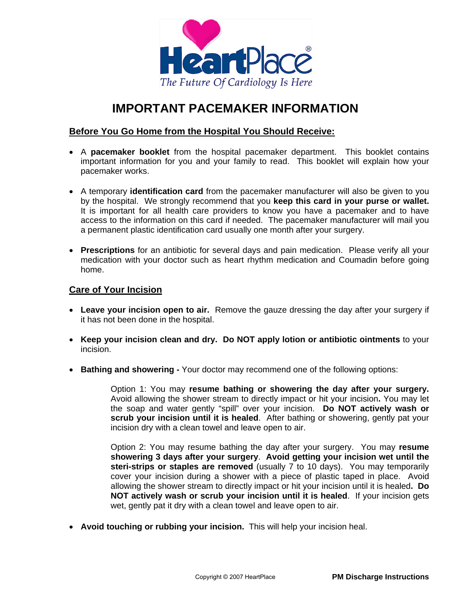

# **IMPORTANT PACEMAKER INFORMATION**

# **Before You Go Home from the Hospital You Should Receive:**

- A **pacemaker booklet** from the hospital pacemaker department. This booklet contains important information for you and your family to read. This booklet will explain how your pacemaker works.
- A temporary **identification card** from the pacemaker manufacturer will also be given to you by the hospital. We strongly recommend that you **keep this card in your purse or wallet.** It is important for all health care providers to know you have a pacemaker and to have access to the information on this card if needed. The pacemaker manufacturer will mail you a permanent plastic identification card usually one month after your surgery.
- **Prescriptions** for an antibiotic for several days and pain medication. Please verify all your medication with your doctor such as heart rhythm medication and Coumadin before going home.

## **Care of Your Incision**

- **Leave your incision open to air.** Remove the gauze dressing the day after your surgery if it has not been done in the hospital.
- **Keep your incision clean and dry. Do NOT apply lotion or antibiotic ointments** to your incision.
- **Bathing and showering** Your doctor may recommend one of the following options:

Option 1: You may **resume bathing or showering the day after your surgery.**  Avoid allowing the shower stream to directly impact or hit your incision**.** You may let the soap and water gently "spill" over your incision. **Do NOT actively wash or scrub your incision until it is healed**. After bathing or showering, gently pat your incision dry with a clean towel and leave open to air.

Option 2: You may resume bathing the day after your surgery. You may **resume showering 3 days after your surgery**. **Avoid getting your incision wet until the steri-strips or staples are removed** (usually 7 to 10 days). You may temporarily cover your incision during a shower with a piece of plastic taped in place. Avoid allowing the shower stream to directly impact or hit your incision until it is healed**. Do NOT actively wash or scrub your incision until it is healed**. If your incision gets wet, gently pat it dry with a clean towel and leave open to air.

• **Avoid touching or rubbing your incision.** This will help your incision heal.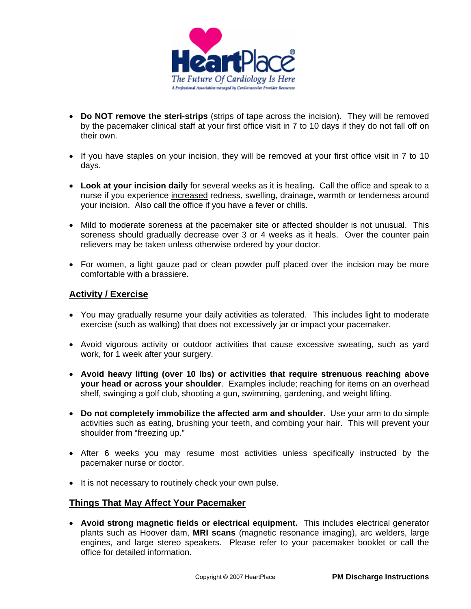

- **Do NOT remove the steri-strips** (strips of tape across the incision). They will be removed by the pacemaker clinical staff at your first office visit in 7 to 10 days if they do not fall off on their own.
- If you have staples on your incision, they will be removed at your first office visit in 7 to 10 days.
- **Look at your incision daily** for several weeks as it is healing**.** Call the office and speak to a nurse if you experience increased redness, swelling, drainage, warmth or tenderness around your incision. Also call the office if you have a fever or chills.
- Mild to moderate soreness at the pacemaker site or affected shoulder is not unusual. This soreness should gradually decrease over 3 or 4 weeks as it heals. Over the counter pain relievers may be taken unless otherwise ordered by your doctor.
- For women, a light gauze pad or clean powder puff placed over the incision may be more comfortable with a brassiere.

## **Activity / Exercise**

- You may gradually resume your daily activities as tolerated. This includes light to moderate exercise (such as walking) that does not excessively jar or impact your pacemaker.
- Avoid vigorous activity or outdoor activities that cause excessive sweating, such as yard work, for 1 week after your surgery.
- **Avoid heavy lifting (over 10 lbs) or activities that require strenuous reaching above your head or across your shoulder**. Examples include; reaching for items on an overhead shelf, swinging a golf club, shooting a gun, swimming, gardening, and weight lifting.
- **Do not completely immobilize the affected arm and shoulder.** Use your arm to do simple activities such as eating, brushing your teeth, and combing your hair. This will prevent your shoulder from "freezing up."
- After 6 weeks you may resume most activities unless specifically instructed by the pacemaker nurse or doctor.
- It is not necessary to routinely check your own pulse.

## **Things That May Affect Your Pacemaker**

• **Avoid strong magnetic fields or electrical equipment.** This includes electrical generator plants such as Hoover dam, **MRI scans** (magnetic resonance imaging), arc welders, large engines, and large stereo speakers. Please refer to your pacemaker booklet or call the office for detailed information.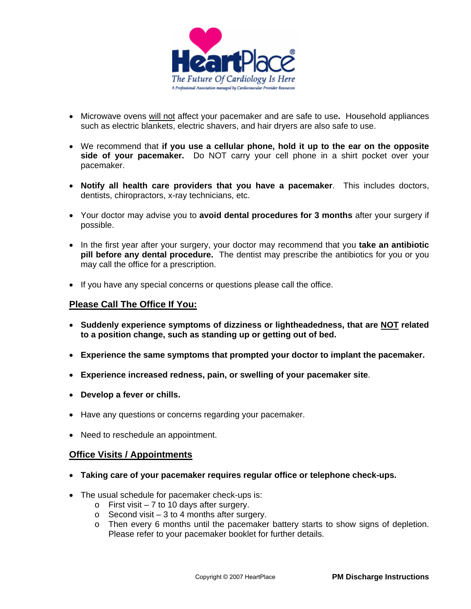

- Microwave ovens will not affect your pacemaker and are safe to use**.** Household appliances such as electric blankets, electric shavers, and hair dryers are also safe to use.
- We recommend that **if you use a cellular phone, hold it up to the ear on the opposite side of your pacemaker.** Do NOT carry your cell phone in a shirt pocket over your pacemaker.
- **Notify all health care providers that you have a pacemaker**. This includes doctors, dentists, chiropractors, x-ray technicians, etc.
- Your doctor may advise you to **avoid dental procedures for 3 months** after your surgery if possible.
- In the first year after your surgery, your doctor may recommend that you **take an antibiotic pill before any dental procedure.** The dentist may prescribe the antibiotics for you or you may call the office for a prescription.
- If you have any special concerns or questions please call the office.

## **Please Call The Office If You:**

- **Suddenly experience symptoms of dizziness or lightheadedness, that are NOT related to a position change, such as standing up or getting out of bed.**
- **Experience the same symptoms that prompted your doctor to implant the pacemaker.**
- **Experience increased redness, pain, or swelling of your pacemaker site**.
- **Develop a fever or chills.**
- Have any questions or concerns regarding your pacemaker.
- Need to reschedule an appointment.

#### **Office Visits / Appointments**

- **Taking care of your pacemaker requires regular office or telephone check-ups.**
- The usual schedule for pacemaker check-ups is:
	- $\circ$  First visit 7 to 10 days after surgery.
	- $\circ$  Second visit 3 to 4 months after surgery.
	- o Then every 6 months until the pacemaker battery starts to show signs of depletion. Please refer to your pacemaker booklet for further details.